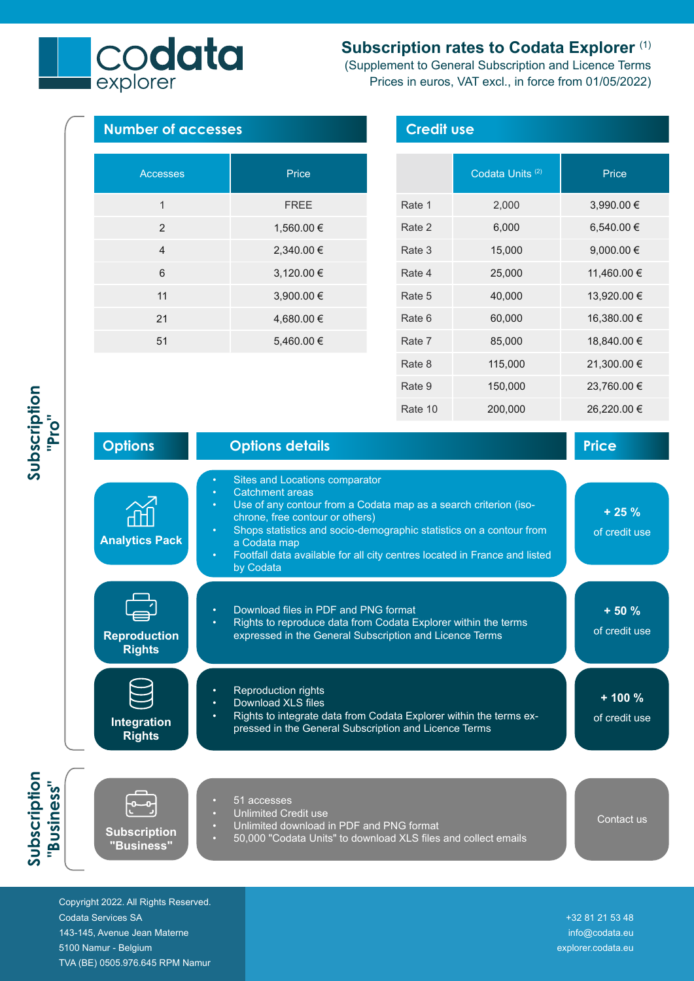## **Subscription rates to Codata Explorer** (1)

(Supplement to General Subscription and Licence Terms Prices in euros, VAT excl., in force from 01/05/2022)

> Rate 6 60,000 16,380.00 € Rate 7 85,000 18,840.00 € Rate 8 115,000 21,300.00 €

> Rate 9 150,000 23,760.00 €



21 4,680.00 € 51 5,460.00 €

codata

|                                      |                                                                                                                                                                                                                                                                                                                                                               | Rate 10 | 200,000 | 26,220.00 €              |
|--------------------------------------|---------------------------------------------------------------------------------------------------------------------------------------------------------------------------------------------------------------------------------------------------------------------------------------------------------------------------------------------------------------|---------|---------|--------------------------|
| <b>Options</b>                       | <b>Options details</b>                                                                                                                                                                                                                                                                                                                                        |         |         | <b>Price</b>             |
| <b>Analytics Pack</b>                | Sites and Locations comparator<br><b>Catchment areas</b><br>Use of any contour from a Codata map as a search criterion (iso-<br>chrone, free contour or others)<br>Shops statistics and socio-demographic statistics on a contour from<br>a Codata map<br>Footfall data available for all city centres located in France and listed<br>$\bullet$<br>by Codata |         |         | $+25%$<br>of credit use  |
| <b>Reproduction</b><br><b>Rights</b> | Download files in PDF and PNG format<br>Rights to reproduce data from Codata Explorer within the terms<br>expressed in the General Subscription and Licence Terms                                                                                                                                                                                             |         |         | $+50%$<br>of credit use  |
| Integration<br><b>Rights</b>         | <b>Reproduction rights</b><br>Download XLS files<br>Rights to integrate data from Codata Explorer within the terms ex-<br>pressed in the General Subscription and Licence Terms                                                                                                                                                                               |         |         | $+100%$<br>of credit use |
|                                      | 51 accesses<br><b>Unlimited Credit use</b><br>Unlimited developed in DDF and DNC fermet                                                                                                                                                                                                                                                                       |         |         | Contact us               |

- Unlimited download in PDF and PNG format
	- - 50,000 "Codata Units" to download XLS files and collect emails

Copyright 2022. All Rights Reserved. Codata Services SA 143-145, Avenue Jean Materne 5100 Namur - Belgium TVA (BE) 0505.976.645 RPM Namur

**Subscription "Business"**

**Subscription "Pro"**

> **Subscription "Business"**

Subscription<br>"Business"

 +32 81 21 53 48 info@codata.eu explorer.codata.eu